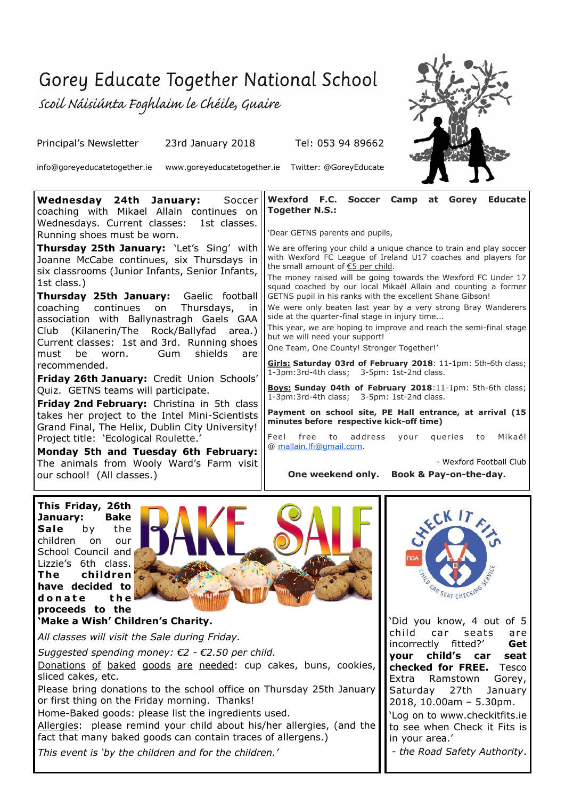## Gorey Educate Together National School

Scoil Náisiúnta Foghlaim le Chéile, Guaire

Principal's Newsletter 23rd January 2018 Tel: 053 94 89662

info@goreyeducatetogether.ie www.goreyeducatetogether.ie Twitter: @GoreyEducate



**Wednesday 24th January:** Soccer coaching with Mikael Allain continues on Wednesdays. Current classes: 1st classes. Running shoes must be worn. **Thursday 25th January:** 'Let's Sing' with Joanne McCabe continues, six Thursdays in six classrooms (Junior Infants, Senior Infants, 1st class.) **Thursday 25th January:** Gaelic football coaching continues on Thursdays, in association with Ballynastragh Gaels GAA Club (Kilanerin/The Rock/Ballyfad area.) Current classes: 1st and 3rd. Running shoes must be worn. Gum shields are recommended. **Friday 26th January:** Credit Union Schools' Quiz. GETNS teams will participate. **Friday 2nd February:** Christina in 5th class takes her project to the Intel Mini-Scientists Grand Final, The Helix, Dublin City University! Project title: 'Ecological Roulette.' **Wexford F.C. Soccer Camp at Gorey Educate Together N.S.:** 'Dear GETNS parents and pupils, We are offering your child a unique chance to train and play soccer with Wexford FC League of Ireland U17 coaches and players for the small amount of €5 per child. The money raised will be going towards the Wexford FC Under 17 squad coached by our local Mikaël Allain and counting a former GETNS pupil in his ranks with the excellent Shane Gibson! We were only beaten last year by a very strong Bray Wanderers side at the quarter-final stage in injury time... This year, we are hoping to improve and reach the semi-final stage but we will need your support! One Team, One County! Stronger Together!' **Girls: Saturday 03rd of February 2018**: 11-1pm: 5th-6th class; 1-3pm:3rd-4th class; 3-5pm: 1st-2nd class. **Boys: Sunday 04th of February 2018**:11-1pm: 5th-6th class; 1-3pm:3rd-4th class; 3-5pm: 1st-2nd class. **Payment on school site, PE Hall entrance, at arrival (15 minutes before respective kick-off time)** Feel free to address your queries to Mikaël @ [mallain.lfi@gmail.com.](mailto:mallain.lfi@gmail.com)

**Monday 5th and Tuesday 6th February:**  The animals from Wooly Ward's Farm visit our school! (All classes.)

- Wexford Football Club

**One weekend only. Book & Pay-on-the-day.**

**This Friday, 26th January: Bake** Sale by the children on our School Council and Lizzie's 6th class. **The children have decided to**  donate the **proceeds to the** 



**'Make a Wish' Children's Charity.**

*All classes will visit the Sale during Friday.*

*Suggested spending money: €2 - €2.50 per child.*

Donations of baked goods are needed: cup cakes, buns, cookies, sliced cakes, etc.

Please bring donations to the school office on Thursday 25th January or first thing on the Friday morning. Thanks!

Home-Baked goods: please list the ingredients used.

*See details overleaf.* Allergies: please remind your child about his/her allergies, (and the fact that many baked goods can contain traces of allergens.)

*This event is 'by the children and for the children.'*



'Did you know, 4 out of 5 child car seats are incorrectly fitted?' **Get your child's car seat checked for FREE.** Tesco Extra Ramstown Gorey, Saturday 27th January 2018, 10.00am – 5.30pm.

allergens.) *<i>Property (and the property direct* in your area.' 'Log on to www.checkitfits.ie to see when Check it Fits is

- *the Road Safety Authority*.